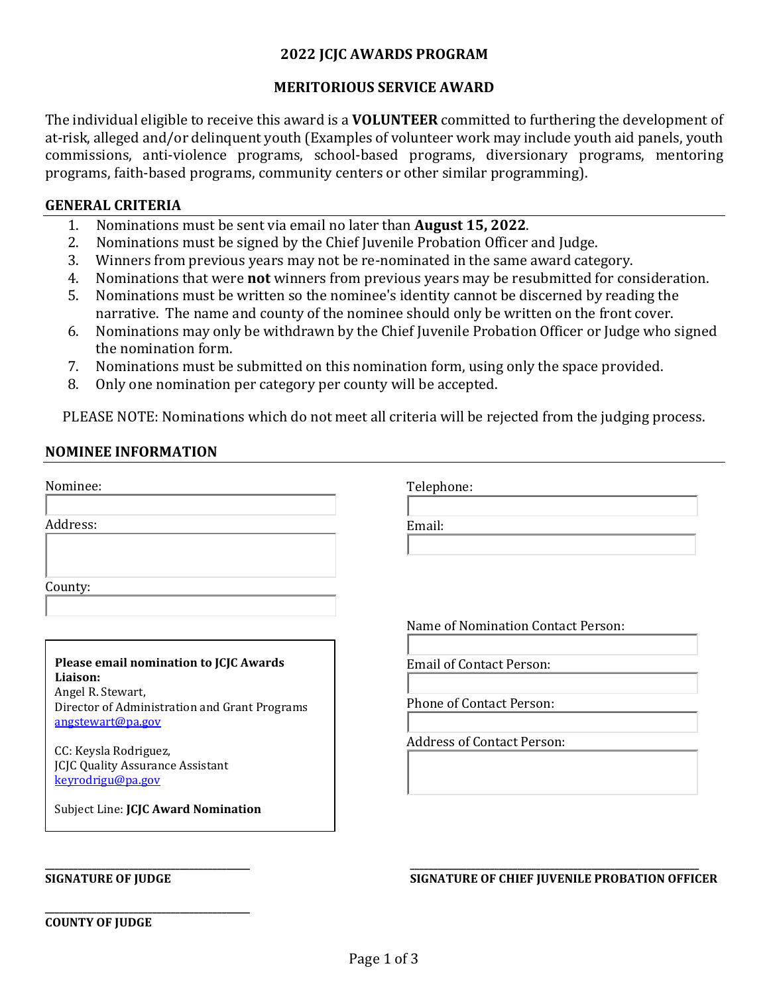# **2022 JCJC AWARDS PROGRAM**

# **MERITORIOUS SERVICE AWARD**

The individual eligible to receive this award is a **VOLUNTEER** committed to furthering the development of at-risk, alleged and/or delinquent youth (Examples of volunteer work may include youth aid panels, youth commissions, anti-violence programs, school-based programs, diversionary programs, mentoring programs, faith-based programs, community centers or other similar programming).

## **GENERAL CRITERIA**

- 1. Nominations must be sent via email no later than **August 15, 2022**.
- 2. Nominations must be signed by the Chief Juvenile Probation Officer and Judge.<br>3. Winners from previous vears may not be re-nominated in the same award cate
- Winners from previous years may not be re-nominated in the same award category.
- 4. Nominations that were **not** winners from previous years may be resubmitted for consideration.
- 5. Nominations must be written so the nominee's identity cannot be discerned by reading the narrative. The name and county of the nominee should only be written on the front cover.
- 6. Nominations may only be withdrawn by the Chief Juvenile Probation Officer or Judge who signed the nomination form.
- 7. Nominations must be submitted on this nomination form, using only the space provided.<br>8. Only one nomination per category per county will be accepted.
- Only one nomination per category per county will be accepted.

PLEASE NOTE: Nominations which do not meet all criteria will be rejected from the judging process.

## **NOMINEE INFORMATION**

| Telephone:                                                                                              |
|---------------------------------------------------------------------------------------------------------|
| Email:                                                                                                  |
|                                                                                                         |
| Name of Nomination Contact Person:                                                                      |
| <b>Email of Contact Person:</b><br><b>Phone of Contact Person:</b><br><b>Address of Contact Person:</b> |
|                                                                                                         |
|                                                                                                         |

**\_\_\_\_\_\_\_\_\_\_\_\_\_\_\_\_\_\_\_\_\_\_\_\_\_\_\_\_\_\_\_\_\_\_\_\_\_\_\_\_\_\_\_\_**

### **\_\_\_\_\_\_\_\_\_\_\_\_\_\_\_\_\_\_\_\_\_\_\_\_\_\_\_\_\_\_\_\_\_\_\_\_\_\_\_\_\_\_\_\_ \_\_\_\_\_\_\_\_\_\_\_\_\_\_\_\_\_\_\_\_\_\_\_\_\_\_\_\_\_\_\_\_\_\_\_\_\_\_\_\_\_\_\_\_\_\_\_\_\_\_\_\_\_\_\_\_\_\_\_\_\_\_ SIGNATURE OF JUDGE SIGNATURE OF CHIEF JUVENILE PROBATION OFFICER**

**COUNTY OF JUDGE**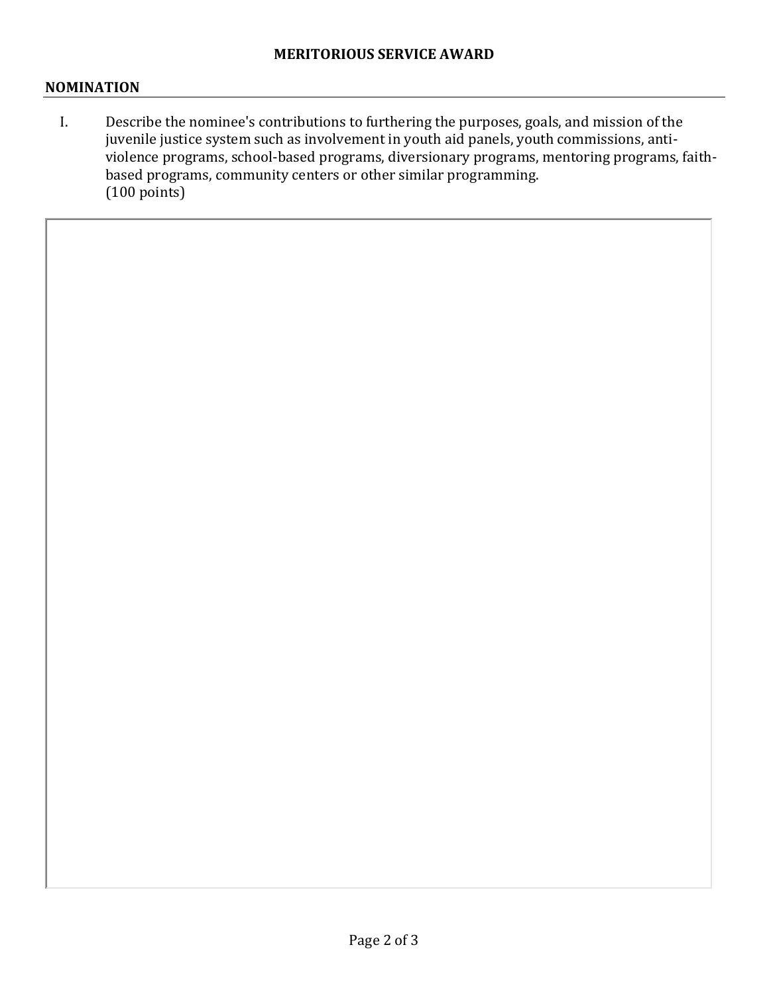## **NOMINATION**

I. Describe the nominee's contributions to furthering the purposes, goals, and mission of the juvenile justice system such as involvement in youth aid panels, youth commissions, antiviolence programs, school-based programs, diversionary programs, mentoring programs, faithbased programs, community centers or other similar programming. (100 points)